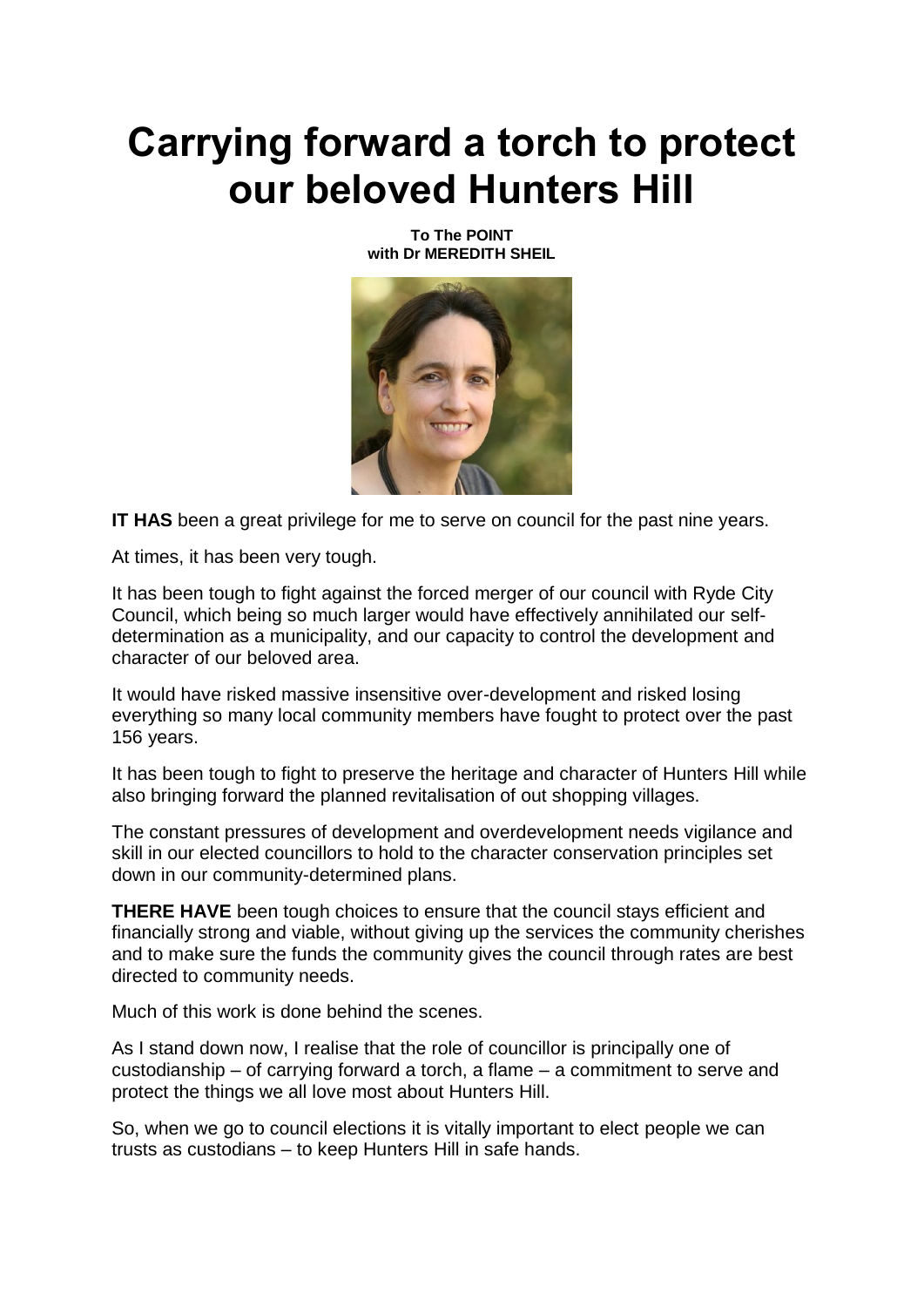## **Carrying forward a torch to protect our beloved Hunters Hill**

**To The POINT with Dr MEREDITH SHEIL**



**IT HAS** been a great privilege for me to serve on council for the past nine years.

At times, it has been very tough.

It has been tough to fight against the forced merger of our council with Ryde City Council, which being so much larger would have effectively annihilated our selfdetermination as a municipality, and our capacity to control the development and character of our beloved area.

It would have risked massive insensitive over-development and risked losing everything so many local community members have fought to protect over the past 156 years.

It has been tough to fight to preserve the heritage and character of Hunters Hill while also bringing forward the planned revitalisation of out shopping villages.

The constant pressures of development and overdevelopment needs vigilance and skill in our elected councillors to hold to the character conservation principles set down in our community-determined plans.

**THERE HAVE** been tough choices to ensure that the council stays efficient and financially strong and viable, without giving up the services the community cherishes and to make sure the funds the community gives the council through rates are best directed to community needs.

Much of this work is done behind the scenes.

As I stand down now, I realise that the role of councillor is principally one of custodianship – of carrying forward a torch, a flame – a commitment to serve and protect the things we all love most about Hunters Hill.

So, when we go to council elections it is vitally important to elect people we can trusts as custodians – to keep Hunters Hill in safe hands.